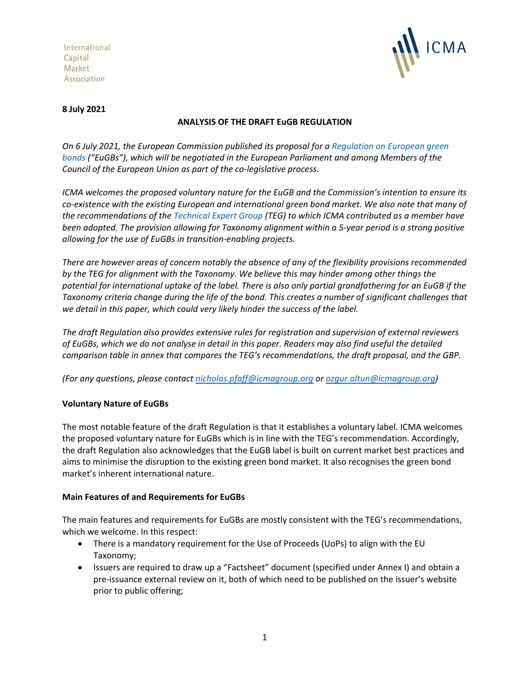International Capital Market Association



### **8 July 2021**

### **ANALYSIS OF THE DRAFT EuGB REGULATION**

*On 6 July 2021, the European Commission published its proposal for [a Regulation on European green](https://ec.europa.eu/finance/docs/law/210704-proposal-green-bonds-standard_en.pdf)  [bonds](https://ec.europa.eu/finance/docs/law/210704-proposal-green-bonds-standard_en.pdf) ("EuGBs"), which will be negotiated in the European Parliament and among Members of the Council of the European Union as part of the co-legislative process.* 

*ICMA welcomes the proposed voluntary nature for the EuGB and the Commission's intention to ensure its co-existence with the existing European and international green bond market. We also note that many of the recommendations of the [Technical Expert Group](https://ec.europa.eu/info/publications/sustainable-finance-technical-expert-group_en) (TEG) to which ICMA contributed as a member have been adopted. The provision allowing for Taxonomy alignment within a 5-year period is a strong positive allowing for the use of EuGBs in transition-enabling projects.* 

*There are however areas of concern notably the absence of any of the flexibility provisions recommended by the TEG for alignment with the Taxonomy. We believe this may hinder among other things the potential for international uptake of the label. There is also only partial grandfathering for an EuGB if the Taxonomy criteria change during the life of the bond. This creates a number of significant challenges that we detail in this paper, which could very likely hinder the success of the label.* 

*The draft Regulation also provides extensive rules for registration and supervision of external reviewers of EuGBs, which we do not analyse in detail in this paper. Readers may also find useful the detailed comparison table in annex that compares the TEG's recommendations, the draft proposal, and the GBP.* 

*(For any questions, please contact [nicholas.pfaff@icmagroup.org](mailto:nicholas.pfaff@icmagroup.org) o[r ozgur.altun@icmagroup.org\)](mailto:ozgur.altun@icmagroup.org)*

## **Voluntary Nature of EuGBs**

The most notable feature of the draft Regulation is that it establishes a voluntary label. ICMA welcomes the proposed voluntary nature for EuGBs which is in line with the TEG's recommendation. Accordingly, the draft Regulation also acknowledges that the EuGB label is built on current market best practices and aims to minimise the disruption to the existing green bond market. It also recognises the green bond market's inherent international nature.

### **Main Features of and Requirements for EuGBs**

The main features and requirements for EuGBs are mostly consistent with the TEG's recommendations, which we welcome. In this respect:

- There is a mandatory requirement for the Use of Proceeds (UoPs) to align with the EU Taxonomy;
- Issuers are required to draw up a "Factsheet" document (specified under Annex I) and obtain a pre-issuance external review on it, both of which need to be published on the issuer's website prior to public offering;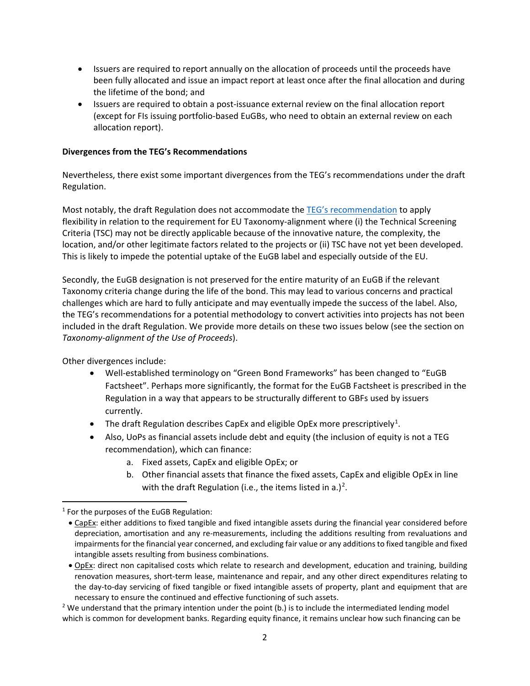- Issuers are required to report annually on the allocation of proceeds until the proceeds have been fully allocated and issue an impact report at least once after the final allocation and during the lifetime of the bond; and
- Issuers are required to obtain a post-issuance external review on the final allocation report (except for FIs issuing portfolio-based EuGBs, who need to obtain an external review on each allocation report).

#### **Divergences from the TEG's Recommendations**

Nevertheless, there exist some important divergences from the TEG's recommendations under the draft Regulation.

Most notably, the draft Regulation does not accommodate the [TEG's recommendation](https://ec.europa.eu/info/sites/default/files/business_economy_euro/banking_and_finance/documents/200309-sustainable-finance-teg-green-bond-standard-usability-guide_en.pdf) to apply flexibility in relation to the requirement for EU Taxonomy-alignment where (i) the Technical Screening Criteria (TSC) may not be directly applicable because of the innovative nature, the complexity, the location, and/or other legitimate factors related to the projects or (ii) TSC have not yet been developed. This is likely to impede the potential uptake of the EuGB label and especially outside of the EU.

Secondly, the EuGB designation is not preserved for the entire maturity of an EuGB if the relevant Taxonomy criteria change during the life of the bond. This may lead to various concerns and practical challenges which are hard to fully anticipate and may eventually impede the success of the label. Also, the TEG's recommendations for a potential methodology to convert activities into projects has not been included in the draft Regulation. We provide more details on these two issues below (see the section on *Taxonomy-alignment of the Use of Proceeds*).

Other divergences include:

- Well-established terminology on "Green Bond Frameworks" has been changed to "EuGB Factsheet". Perhaps more significantly, the format for the EuGB Factsheet is prescribed in the Regulation in a way that appears to be structurally different to GBFs used by issuers currently.
- The draft Regulation describes CapEx and eligible OpEx more prescriptively<sup>[1](#page-1-0)</sup>.
- Also, UoPs as financial assets include debt and equity (the inclusion of equity is not a TEG recommendation), which can finance:
	- a. Fixed assets, CapEx and eligible OpEx; or
	- b. Other financial assets that finance the fixed assets, CapEx and eligible OpEx in line with the draft Regulation (i.e., the items listed in a.)<sup>[2](#page-1-1)</sup>.

<span id="page-1-0"></span> $1$  For the purposes of the EuGB Regulation:

<sup>•</sup> CapEx: either additions to fixed tangible and fixed intangible assets during the financial year considered before depreciation, amortisation and any re-measurements, including the additions resulting from revaluations and impairments for the financial year concerned, and excluding fair value or any additions to fixed tangible and fixed intangible assets resulting from business combinations.

<sup>•</sup> OpEx: direct non capitalised costs which relate to research and development, education and training, building renovation measures, short-term lease, maintenance and repair, and any other direct expenditures relating to the day-to-day servicing of fixed tangible or fixed intangible assets of property, plant and equipment that are necessary to ensure the continued and effective functioning of such assets.

<span id="page-1-1"></span> $2$  We understand that the primary intention under the point (b.) is to include the intermediated lending model which is common for development banks. Regarding equity finance, it remains unclear how such financing can be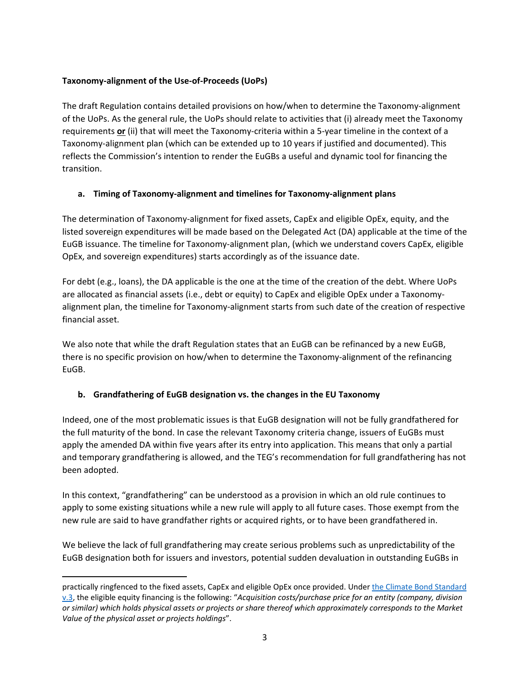## **Taxonomy-alignment of the Use-of-Proceeds (UoPs)**

The draft Regulation contains detailed provisions on how/when to determine the Taxonomy-alignment of the UoPs. As the general rule, the UoPs should relate to activities that (i) already meet the Taxonomy requirements **or** (ii) that will meet the Taxonomy-criteria within a 5-year timeline in the context of a Taxonomy-alignment plan (which can be extended up to 10 years if justified and documented). This reflects the Commission's intention to render the EuGBs a useful and dynamic tool for financing the transition.

## **a. Timing of Taxonomy-alignment and timelines for Taxonomy-alignment plans**

The determination of Taxonomy-alignment for fixed assets, CapEx and eligible OpEx, equity, and the listed sovereign expenditures will be made based on the Delegated Act (DA) applicable at the time of the EuGB issuance. The timeline for Taxonomy-alignment plan, (which we understand covers CapEx, eligible OpEx, and sovereign expenditures) starts accordingly as of the issuance date.

For debt (e.g., loans), the DA applicable is the one at the time of the creation of the debt. Where UoPs are allocated as financial assets (i.e., debt or equity) to CapEx and eligible OpEx under a Taxonomyalignment plan, the timeline for Taxonomy-alignment starts from such date of the creation of respective financial asset.

We also note that while the draft Regulation states that an EuGB can be refinanced by a new EuGB, there is no specific provision on how/when to determine the Taxonomy-alignment of the refinancing EuGB.

## **b. Grandfathering of EuGB designation vs. the changes in the EU Taxonomy**

Indeed, one of the most problematic issues is that EuGB designation will not be fully grandfathered for the full maturity of the bond. In case the relevant Taxonomy criteria change, issuers of EuGBs must apply the amended DA within five years after its entry into application. This means that only a partial and temporary grandfathering is allowed, and the TEG's recommendation for full grandfathering has not been adopted.

In this context, "grandfathering" can be understood as a provision in which an old rule continues to apply to some existing situations while a new rule will apply to all future cases. Those exempt from the new rule are said to have grandfather rights or acquired rights, or to have been grandfathered in.

We believe the lack of full grandfathering may create serious problems such as unpredictability of the EuGB designation both for issuers and investors, potential sudden devaluation in outstanding EuGBs in

practically ringfenced to the fixed assets, CapEx and eligible OpEx once provided. Under [the Climate Bond Standard](https://www.climatebonds.net/files/files/climate-bonds-standard-v3-20191210.pdf)  [v.3,](https://www.climatebonds.net/files/files/climate-bonds-standard-v3-20191210.pdf) the eligible equity financing is the following: "*Acquisition costs/purchase price for an entity (company, division or similar) which holds physical assets or projects or share thereof which approximately corresponds to the Market Value of the physical asset or projects holdings*".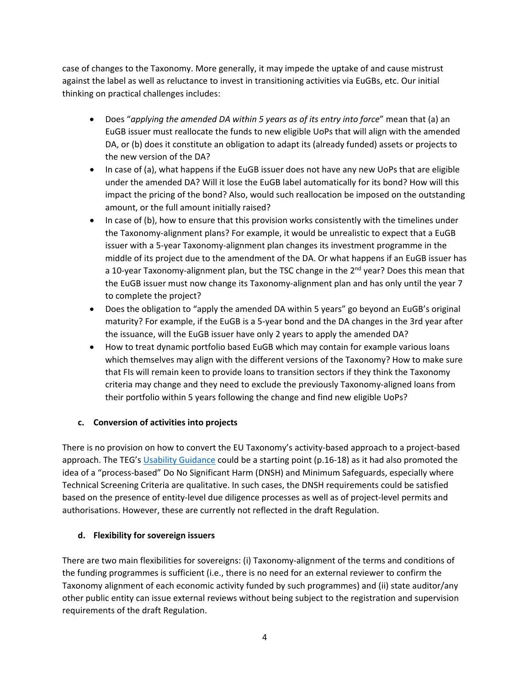case of changes to the Taxonomy. More generally, it may impede the uptake of and cause mistrust against the label as well as reluctance to invest in transitioning activities via EuGBs, etc. Our initial thinking on practical challenges includes:

- Does "*applying the amended DA within 5 years as of its entry into force*" mean that (a) an EuGB issuer must reallocate the funds to new eligible UoPs that will align with the amended DA, or (b) does it constitute an obligation to adapt its (already funded) assets or projects to the new version of the DA?
- In case of (a), what happens if the EuGB issuer does not have any new UoPs that are eligible under the amended DA? Will it lose the EuGB label automatically for its bond? How will this impact the pricing of the bond? Also, would such reallocation be imposed on the outstanding amount, or the full amount initially raised?
- In case of (b), how to ensure that this provision works consistently with the timelines under the Taxonomy-alignment plans? For example, it would be unrealistic to expect that a EuGB issuer with a 5-year Taxonomy-alignment plan changes its investment programme in the middle of its project due to the amendment of the DA. Or what happens if an EuGB issuer has a 10-year Taxonomy-alignment plan, but the TSC change in the  $2<sup>nd</sup>$  year? Does this mean that the EuGB issuer must now change its Taxonomy-alignment plan and has only until the year 7 to complete the project?
- Does the obligation to "apply the amended DA within 5 years" go beyond an EuGB's original maturity? For example, if the EuGB is a 5-year bond and the DA changes in the 3rd year after the issuance, will the EuGB issuer have only 2 years to apply the amended DA?
- How to treat dynamic portfolio based EuGB which may contain for example various loans which themselves may align with the different versions of the Taxonomy? How to make sure that FIs will remain keen to provide loans to transition sectors if they think the Taxonomy criteria may change and they need to exclude the previously Taxonomy-aligned loans from their portfolio within 5 years following the change and find new eligible UoPs?

## **c. Conversion of activities into projects**

There is no provision on how to convert the EU Taxonomy's activity-based approach to a project-based approach. The TEG'[s Usability Guidance](https://ec.europa.eu/info/sites/default/files/business_economy_euro/banking_and_finance/documents/200309-sustainable-finance-teg-green-bond-standard-usability-guide_en.pdf) could be a starting point (p.16-18) as it had also promoted the idea of a "process-based" Do No Significant Harm (DNSH) and Minimum Safeguards, especially where Technical Screening Criteria are qualitative. In such cases, the DNSH requirements could be satisfied based on the presence of entity-level due diligence processes as well as of project-level permits and authorisations. However, these are currently not reflected in the draft Regulation.

### **d. Flexibility for sovereign issuers**

There are two main flexibilities for sovereigns: (i) Taxonomy-alignment of the terms and conditions of the funding programmes is sufficient (i.e., there is no need for an external reviewer to confirm the Taxonomy alignment of each economic activity funded by such programmes) and (ii) state auditor/any other public entity can issue external reviews without being subject to the registration and supervision requirements of the draft Regulation.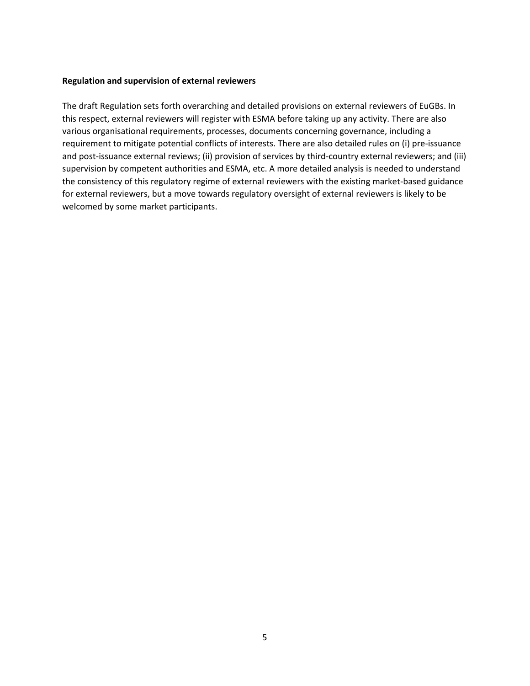#### **Regulation and supervision of external reviewers**

The draft Regulation sets forth overarching and detailed provisions on external reviewers of EuGBs. In this respect, external reviewers will register with ESMA before taking up any activity. There are also various organisational requirements, processes, documents concerning governance, including a requirement to mitigate potential conflicts of interests. There are also detailed rules on (i) pre-issuance and post-issuance external reviews; (ii) provision of services by third-country external reviewers; and (iii) supervision by competent authorities and ESMA, etc. A more detailed analysis is needed to understand the consistency of this regulatory regime of external reviewers with the existing market-based guidance for external reviewers, but a move towards regulatory oversight of external reviewers is likely to be welcomed by some market participants.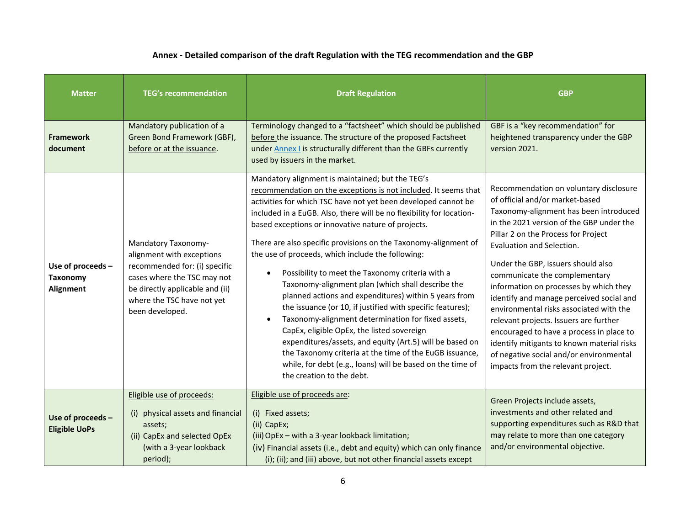# **Annex - Detailed comparison of the draft Regulation with the TEG recommendation and the GBP**

| <b>Matter</b>                                     | <b>TEG's recommendation</b>                                                                                                                                                                          | <b>Draft Regulation</b>                                                                                                                                                                                                                                                                                                                                                                                                                                                                                                                                                                                                                                                                                                                                                                                                                                                                                                                                                                           | <b>GBP</b>                                                                                                                                                                                                                                                                                                                                                                                                                                                                                                                                                                                                                                                       |
|---------------------------------------------------|------------------------------------------------------------------------------------------------------------------------------------------------------------------------------------------------------|---------------------------------------------------------------------------------------------------------------------------------------------------------------------------------------------------------------------------------------------------------------------------------------------------------------------------------------------------------------------------------------------------------------------------------------------------------------------------------------------------------------------------------------------------------------------------------------------------------------------------------------------------------------------------------------------------------------------------------------------------------------------------------------------------------------------------------------------------------------------------------------------------------------------------------------------------------------------------------------------------|------------------------------------------------------------------------------------------------------------------------------------------------------------------------------------------------------------------------------------------------------------------------------------------------------------------------------------------------------------------------------------------------------------------------------------------------------------------------------------------------------------------------------------------------------------------------------------------------------------------------------------------------------------------|
| <b>Framework</b><br>document                      | Mandatory publication of a<br>Green Bond Framework (GBF),<br>before or at the issuance.                                                                                                              | Terminology changed to a "factsheet" which should be published<br>before the issuance. The structure of the proposed Factsheet<br>under <b>Annex I</b> is structurally different than the GBFs currently<br>used by issuers in the market.                                                                                                                                                                                                                                                                                                                                                                                                                                                                                                                                                                                                                                                                                                                                                        | GBF is a "key recommendation" for<br>heightened transparency under the GBP<br>version 2021.                                                                                                                                                                                                                                                                                                                                                                                                                                                                                                                                                                      |
| Use of proceeds -<br><b>Taxonomy</b><br>Alignment | Mandatory Taxonomy-<br>alignment with exceptions<br>recommended for: (i) specific<br>cases where the TSC may not<br>be directly applicable and (ii)<br>where the TSC have not yet<br>been developed. | Mandatory alignment is maintained; but the TEG's<br>recommendation on the exceptions is not included. It seems that<br>activities for which TSC have not yet been developed cannot be<br>included in a EuGB. Also, there will be no flexibility for location-<br>based exceptions or innovative nature of projects.<br>There are also specific provisions on the Taxonomy-alignment of<br>the use of proceeds, which include the following:<br>Possibility to meet the Taxonomy criteria with a<br>Taxonomy-alignment plan (which shall describe the<br>planned actions and expenditures) within 5 years from<br>the issuance (or 10, if justified with specific features);<br>Taxonomy-alignment determination for fixed assets,<br>CapEx, eligible OpEx, the listed sovereign<br>expenditures/assets, and equity (Art.5) will be based on<br>the Taxonomy criteria at the time of the EuGB issuance,<br>while, for debt (e.g., loans) will be based on the time of<br>the creation to the debt. | Recommendation on voluntary disclosure<br>of official and/or market-based<br>Taxonomy-alignment has been introduced<br>in the 2021 version of the GBP under the<br>Pillar 2 on the Process for Project<br>Evaluation and Selection.<br>Under the GBP, issuers should also<br>communicate the complementary<br>information on processes by which they<br>identify and manage perceived social and<br>environmental risks associated with the<br>relevant projects. Issuers are further<br>encouraged to have a process in place to<br>identify mitigants to known material risks<br>of negative social and/or environmental<br>impacts from the relevant project. |
| Use of proceeds -<br><b>Eligible UoPs</b>         | Eligible use of proceeds:<br>(i) physical assets and financial<br>assets;<br>(ii) CapEx and selected OpEx<br>(with a 3-year lookback<br>period);                                                     | Eligible use of proceeds are:<br>(i) Fixed assets;<br>(ii) CapEx;<br>(iii) OpEx - with a 3-year lookback limitation;<br>(iv) Financial assets (i.e., debt and equity) which can only finance<br>(i); (ii); and (iii) above, but not other financial assets except                                                                                                                                                                                                                                                                                                                                                                                                                                                                                                                                                                                                                                                                                                                                 | Green Projects include assets,<br>investments and other related and<br>supporting expenditures such as R&D that<br>may relate to more than one category<br>and/or environmental objective.                                                                                                                                                                                                                                                                                                                                                                                                                                                                       |